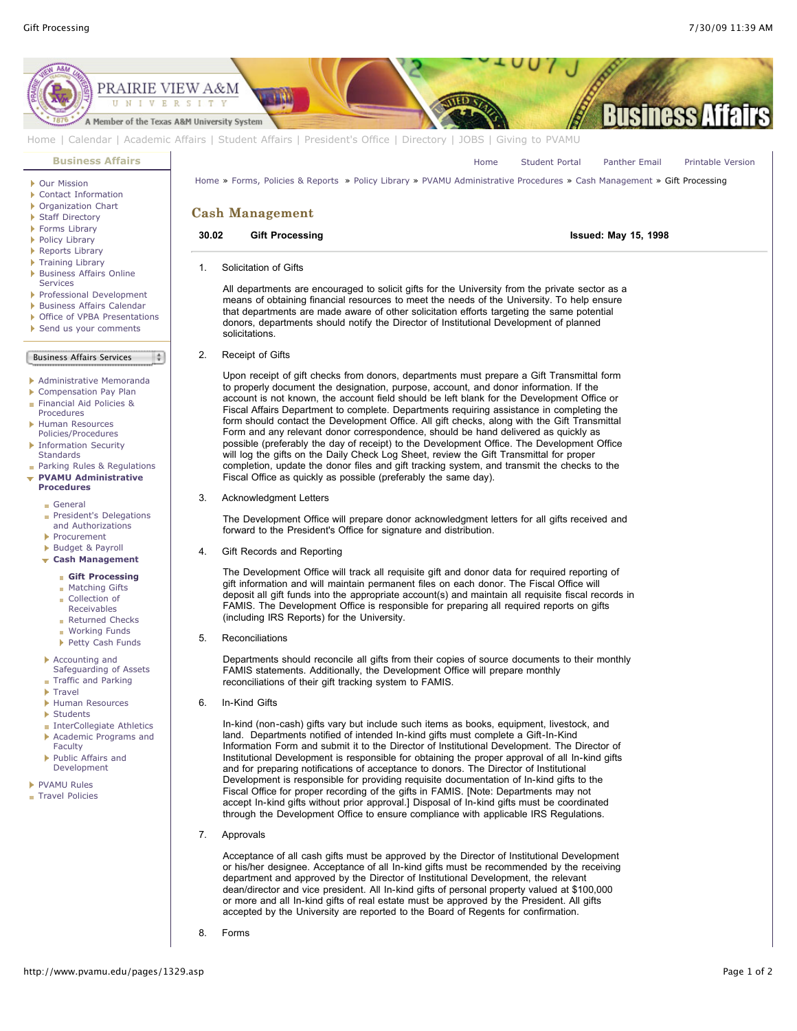